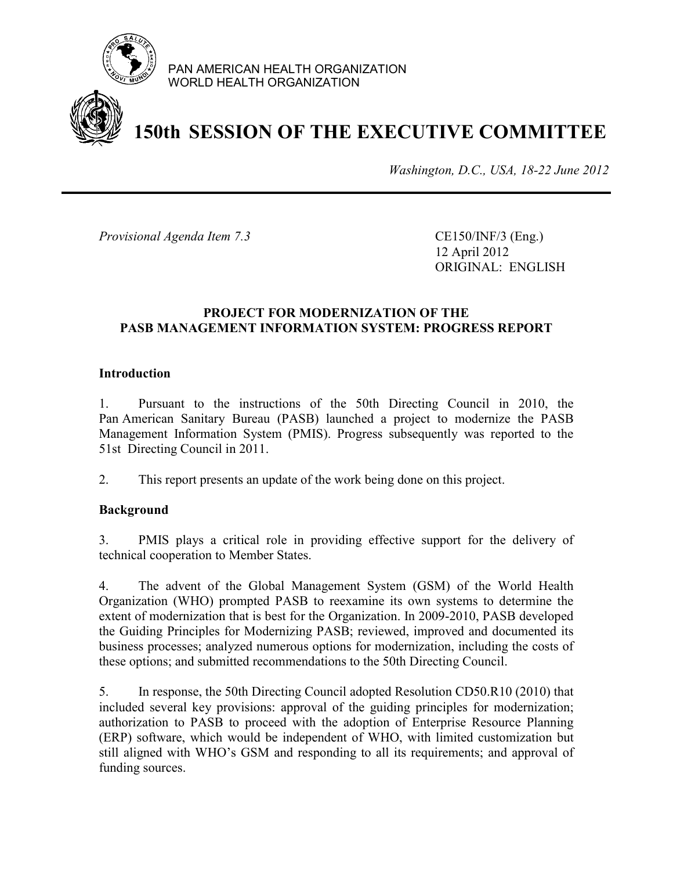

PAN AMERICAN HEALTH ORGANIZATION WORLD HEALTH ORGANIZATION

# **150th SESSION OF THE EXECUTIVE COMMITTEE**

*Washington, D.C., USA, 18-22 June 2012*

*Provisional Agenda Item 7.3* CE150/INF/3 (Eng.)

12 April 2012 ORIGINAL: ENGLISH

### **PROJECT FOR MODERNIZATION OF THE PASB MANAGEMENT INFORMATION SYSTEM: PROGRESS REPORT**

#### **Introduction**

1. Pursuant to the instructions of the 50th Directing Council in 2010, the Pan American Sanitary Bureau (PASB) launched a project to modernize the PASB Management Information System (PMIS). Progress subsequently was reported to the 51st Directing Council in 2011.

2. This report presents an update of the work being done on this project.

#### **Background**

3. PMIS plays a critical role in providing effective support for the delivery of technical cooperation to Member States.

4. The advent of the Global Management System (GSM) of the World Health Organization (WHO) prompted PASB to reexamine its own systems to determine the extent of modernization that is best for the Organization. In 2009-2010, PASB developed the Guiding Principles for Modernizing PASB; reviewed, improved and documented its business processes; analyzed numerous options for modernization, including the costs of these options; and submitted recommendations to the 50th Directing Council.

5. In response, the 50th Directing Council adopted Resolution CD50.R10 (2010) that included several key provisions: approval of the guiding principles for modernization; authorization to PASB to proceed with the adoption of Enterprise Resource Planning (ERP) software, which would be independent of WHO, with limited customization but still aligned with WHO's GSM and responding to all its requirements; and approval of funding sources.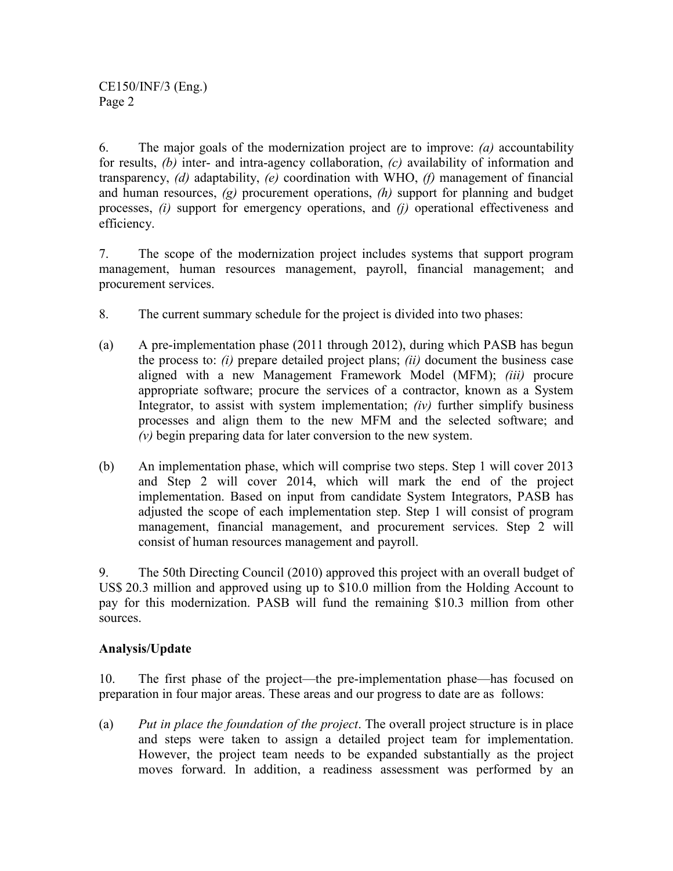CE150/INF/3 (Eng.) Page 2

6. The major goals of the modernization project are to improve: *(a)* accountability for results, *(b)* inter- and intra-agency collaboration, *(c)* availability of information and transparency, *(d)* adaptability, *(e)* coordination with WHO, *(f)* management of financial and human resources, *(g)* procurement operations, *(h)* support for planning and budget processes, *(i)* support for emergency operations, and *(j)* operational effectiveness and efficiency.

7. The scope of the modernization project includes systems that support program management, human resources management, payroll, financial management; and procurement services.

- 8. The current summary schedule for the project is divided into two phases:
- (a) A pre-implementation phase (2011 through 2012), during which PASB has begun the process to: *(i)* prepare detailed project plans; *(ii)* document the business case aligned with a new Management Framework Model (MFM); *(iii)* procure appropriate software; procure the services of a contractor, known as a System Integrator, to assist with system implementation; *(iv)* further simplify business processes and align them to the new MFM and the selected software; and *(v)* begin preparing data for later conversion to the new system.
- (b) An implementation phase, which will comprise two steps. Step 1 will cover 2013 and Step 2 will cover 2014, which will mark the end of the project implementation. Based on input from candidate System Integrators, PASB has adjusted the scope of each implementation step. Step 1 will consist of program management, financial management, and procurement services. Step 2 will consist of human resources management and payroll.

9. The 50th Directing Council (2010) approved this project with an overall budget of US\$ 20.3 million and approved using up to \$10.0 million from the Holding Account to pay for this modernization. PASB will fund the remaining \$10.3 million from other sources.

## **Analysis/Update**

10. The first phase of the project—the pre-implementation phase—has focused on preparation in four major areas. These areas and our progress to date are as follows:

(a) *Put in place the foundation of the project*. The overall project structure is in place and steps were taken to assign a detailed project team for implementation. However, the project team needs to be expanded substantially as the project moves forward. In addition, a readiness assessment was performed by an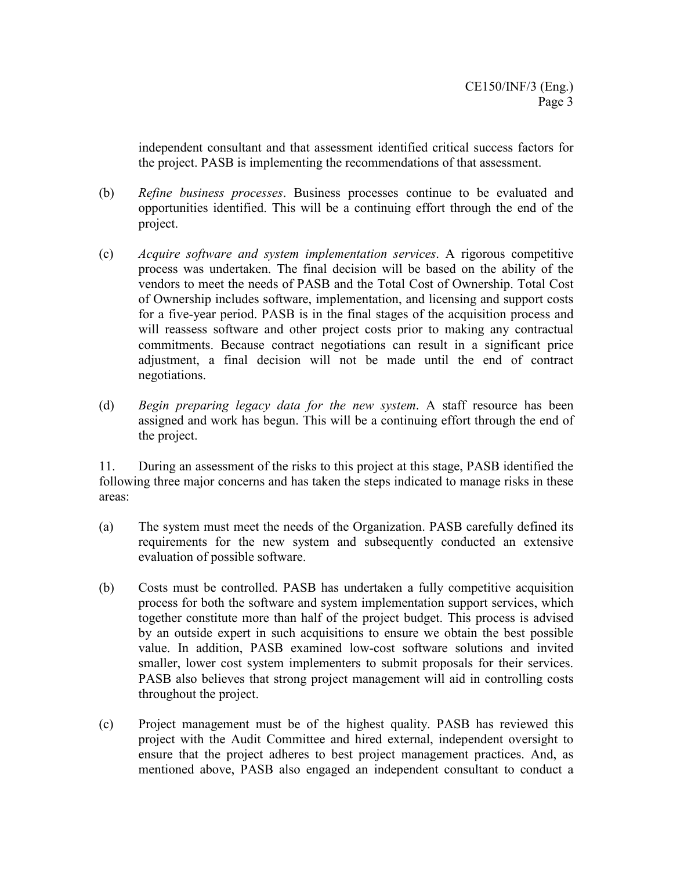independent consultant and that assessment identified critical success factors for the project. PASB is implementing the recommendations of that assessment.

- (b) *Refine business processes*. Business processes continue to be evaluated and opportunities identified. This will be a continuing effort through the end of the project.
- (c) *Acquire software and system implementation services*. A rigorous competitive process was undertaken. The final decision will be based on the ability of the vendors to meet the needs of PASB and the Total Cost of Ownership. Total Cost of Ownership includes software, implementation, and licensing and support costs for a five-year period. PASB is in the final stages of the acquisition process and will reassess software and other project costs prior to making any contractual commitments. Because contract negotiations can result in a significant price adjustment, a final decision will not be made until the end of contract negotiations.
- (d) *Begin preparing legacy data for the new system*. A staff resource has been assigned and work has begun. This will be a continuing effort through the end of the project.

11. During an assessment of the risks to this project at this stage, PASB identified the following three major concerns and has taken the steps indicated to manage risks in these areas:

- (a) The system must meet the needs of the Organization. PASB carefully defined its requirements for the new system and subsequently conducted an extensive evaluation of possible software.
- (b) Costs must be controlled. PASB has undertaken a fully competitive acquisition process for both the software and system implementation support services, which together constitute more than half of the project budget. This process is advised by an outside expert in such acquisitions to ensure we obtain the best possible value. In addition, PASB examined low-cost software solutions and invited smaller, lower cost system implementers to submit proposals for their services. PASB also believes that strong project management will aid in controlling costs throughout the project.
- (c) Project management must be of the highest quality. PASB has reviewed this project with the Audit Committee and hired external, independent oversight to ensure that the project adheres to best project management practices. And, as mentioned above, PASB also engaged an independent consultant to conduct a